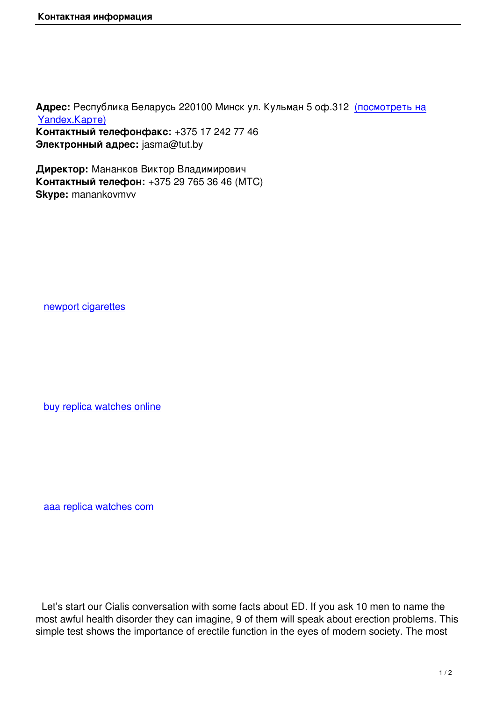**Адрес:** Республика Беларусь 220100 Минск ул. Кульман 5 оф.312 (посмотреть на Yandex.Карте) **Контактный телефонфакс:** +375 17 242 77 46 **Электронный адрес:** jasma@tut.by

**[Директор:](http://maps.yandex.ru/?text=%D0%91%D0%B5%D0%BB%D0%B0%D1%80%D1%83%D1%81%D1%8C%2C%20%D0%9C%D0%B8%D0%BD%D1%81%D0%BA%D0%B0%D1%8F%20%D0%BE%D0%B1%D0%BB%D0%B0%D1%81%D1%82%D1%8C%2C%20%D0%9C%D0%B8%D0%BD%D1%81%D0%BA%2C%20%D1%83%D0%BB%D0%B8%D1%86%D0%B0%20%D0%9A%D1%83%D0%BB%D1%8C%D0%BC%D0%B0%D0%BD%2C%205&sll=27.581046%2C53.920449&sspn=0.00821%2C0.004846&ll=27.581046%2C53.920449&spn=0.02959%2C0.009234&z=16&l=map)** Мананков Виктор Владимирович **Контактный телефон:** +375 29 765 36 46 (МТС) **Skype:** manankovmvv

newport cigarettes

buy replica watches online

aaa replica watches com

 Let's start our Cialis conversation with some facts about ED. If you ask 10 men to name the most awful health disorder they can imagine, 9 of them will speak about erection problems. This simple test shows the importance of erectile function in the eyes of modern society. The most